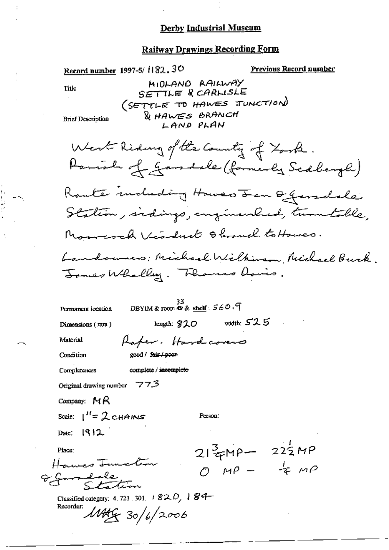$\vdots$ 

计数据数据

| Record number 1997-5/1182.30                                                                                                                      | <b>Previous Record number</b>                        |
|---------------------------------------------------------------------------------------------------------------------------------------------------|------------------------------------------------------|
| MIDLAND RAILWAY<br>Title<br>SETTLE & CARLISLE<br>(SETTLE TO HAWES JUNCTION)<br><b>&amp; HAWES BRANCH</b><br><b>Brief Description</b><br>LAND PLAN |                                                      |
| West Riding of the County of York.<br>Parish of gandale (formerly Scalerge)                                                                       |                                                      |
| Route induding Howes Fen Generale<br>Station, indings, enginealed, tumboble,                                                                      |                                                      |
| Marresch Visdud Obranch to Howes.<br>Landowners; Michael Wilkinson, Nichael Buck<br>Jones Wholly. Thomas Davis.                                   |                                                      |
| DBYIM & room $\Phi$ & shelf: $560.9$<br>Permanent location<br>length: 920<br>Dimensions $(mn)$                                                    | width: $52.5$                                        |
| Material<br>Raper. Hardcovers                                                                                                                     |                                                      |
| Condition<br>good / fair / poor-<br><b>Completeness</b><br>complete / incomplete                                                                  |                                                      |
| Original drawing number $773$                                                                                                                     |                                                      |
| Company: $MR$                                                                                                                                     |                                                      |
| Scale: $1'' = 2$ CHAINS<br>Person:                                                                                                                |                                                      |
| Date: $1912$                                                                                                                                      |                                                      |
| Place:<br>Hawes Junction<br>o gardde<br>Classified category: 4, 721, 301, $\pm$ 82, $D$ , $\pm$ 84-                                               | $21\frac{3}{7}MP - 22\frac{1}{2}MP$<br>O MP - $4 MP$ |
| Recorder:<br>11449/30/6/2006                                                                                                                      |                                                      |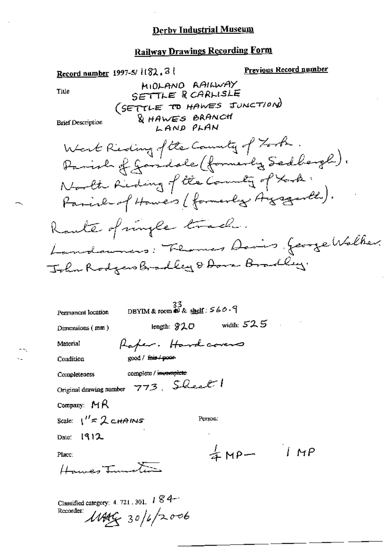## **Railway Drawings Recording Form**

Previous Record number Record number 1997-5/ 1182.3 MIDLAND AAILWAY SETTLE R CARLISLE Title (SETTLE TO HAWES JUNCTION) & HAWES BRANCH **Brief Description** LAND PLAN West Reding of the County of Zook. Parish of Janidale (formerly Sadlargh). North Riding of the County of took. Parish of Howers (formerly Arganth). Rault of imple track. Landaumers: Florences Davis, George Walker. John Rodgers Bradley & Dora Bradley. 33<br>DBYIM & room  $\otimes$  & shelf:  $560.9$ Permanent location width:  $52.5$ length:  $920$ Dimensions (mm) Raper. Hardcovers Material good / fair / poor Condition complete / incomplete Completeness Original drawing number 773, Sheet Company:  $MR$ Scale:  $1'' \approx 2$  CHAINS Person: Date:  $1912$  $4MP - 1MP$ Place: Hower Tunes Classified category: 4, 721, 301, 184-

Recorder:  $1449930/6/2006$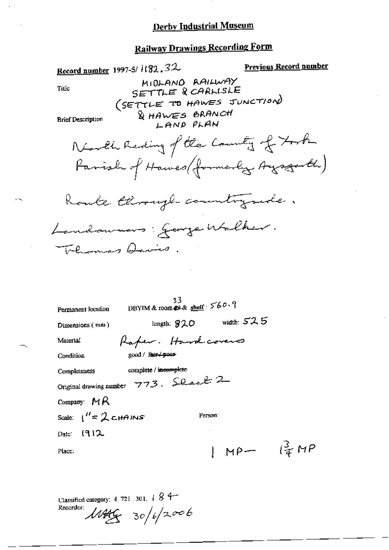### Railway Drawings Recording Form

|                                         |                                                                         | <u>қануау піаншаз көлі чере және</u>    |                               |
|-----------------------------------------|-------------------------------------------------------------------------|-----------------------------------------|-------------------------------|
|                                         | Record number 1997-5/ $1132.32$                                         |                                         | <u>Previous Record number</u> |
| Title                                   | MIDLAND RAILWAY<br>SETTLE & CARLISLE                                    |                                         |                               |
| <b>Brief Description</b>                | (SETTLE TO HAWES JUNCTION)<br><b>WHAWES BRANCH</b><br>LAND PLAN         |                                         |                               |
|                                         | North Reding of the County of York                                      |                                         |                               |
|                                         | Farish of Hawes (formerly Ayrgarth)                                     |                                         |                               |
|                                         | Route through countryside.                                              |                                         |                               |
|                                         | Landaumens: George Walker.                                              |                                         |                               |
|                                         | Thermas Davis.                                                          |                                         |                               |
|                                         |                                                                         |                                         |                               |
| Permanent location                      | 33.<br>DBYIM & room $\mathcal{O} \& \underline{\text{shell}}$ : $560.9$ |                                         |                               |
| Dimensions (mm)                         | length: $920$                                                           | width: $52.5$                           |                               |
| Material                                | Raper. Hardcovers                                                       |                                         |                               |
| Condition                               | good / fair poor                                                        |                                         |                               |
| Completeness                            | complete / incomplete                                                   |                                         |                               |
|                                         | Original drawing number 773. Sheet 2                                    |                                         |                               |
| Company: $MR$                           |                                                                         |                                         |                               |
| Scale: $\frac{1}{1}$ $\approx$ 2 chains |                                                                         | Person:                                 |                               |
| Date: $[9]2$                            |                                                                         |                                         |                               |
| Place:                                  |                                                                         | $1 \text{ MP} = \frac{3}{4} \text{ MP}$ |                               |
|                                         |                                                                         |                                         |                               |

Classified category: 4.721.301. |  $84$ <br>Recorder:  $\mu$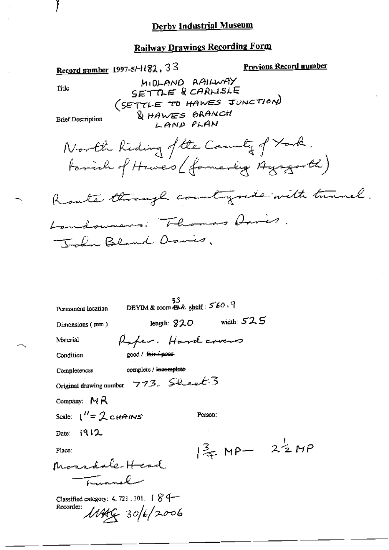## **Railway Drawings Recording Form**

Record number 1997-5/4182, 33 Previous Record number MIDLAND RAILWAY SETTLE & CARLISLE Title (SETTLE TO HAWES JUNCTION) & HAWES BRANCH **Brief Description**  $L$  AND PLAN North Kiding of the Country of York. family of Howes (formerly Agencyarth) Route though countryside with tunnel. Landowners. Thomas Davis. The Bland Davis. 33<br>DBYIM & room  $\oplus$  & shelf:  $560.9$ Permanent location leagth:  $820$  width:  $525$ Dimensions (mm) Raper. Hardcovers Material good / fuir-4poor Condition complete / incomplete Completencss Original drawing number  $773.$  Sheet 3 Company:  $MA$ Scale:  $I'' = 2cHAINS$ Person: 1912 Date:  $32 \times 12$ Place: Mossdale Head trannal Classified category: 4. 721, 301.  $\int g$  4-Recorder:  $11449 = 306/2006$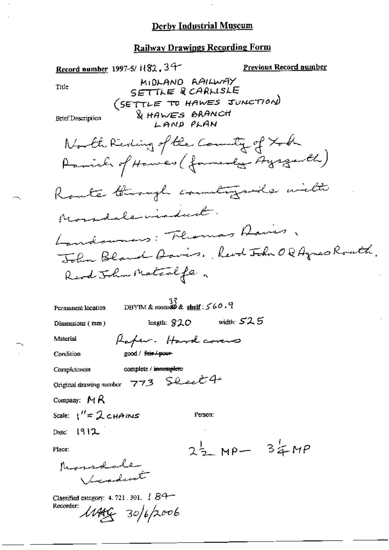Record number 1997-5/1182.34 Previous Record number MIDLAND AAILWAY Title SETTLE & CARLISLE (SETTLE TO HAWES JUNCTION) & HAWES BRANCH **Brief Description** LAND PLAN North Keding of the County of Xoch Parish of Howes (formerly Ayrgarth) Route through countrying with Mondaleniadud. Landowners: Florences Davis John Bland Asvis, Revol John OG Agnes Routh. Read John Materife.  $^{37}_{\text{DBYTM}}$ & roomd $^{32}_{\text{A}}$  shelf:  $\leq$  60.9 Permanent location leagth:  $920$  width:  $525$ Dimensions (mm) Rafer. Hardcovers Material good / fair / poor Condition complete / incomplete Completeness Original drawing number 773 Sheet 4 Company:  $MA$ Scale:  $1'' \approx 2$  CHAINS Person: Date:  $1912$  $2\frac{1}{2}$  MP-  $3\frac{1}{4}$ MP Place: Mosselsle Vicadunt Classified category: 4.721.301.  $\sqrt{84}$ Recorder:  $11449 - 306/2006$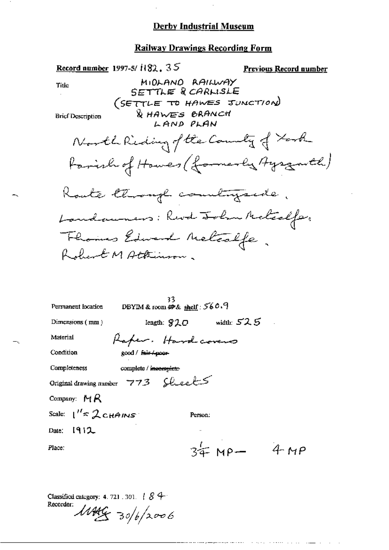$\cdot$ 

 $\bar{z}$ 

ļ

| Railway Drawings Recording Form                               |                               |
|---------------------------------------------------------------|-------------------------------|
| Record number 1997-5/1182, $35$<br>MIDLAND RAILWAY            | <u>Previous Record number</u> |
| Title<br>SETTLE R <i>CAR</i> LISLE                            |                               |
| (SETTLE TO HAWES JUNCTION)                                    |                               |
| <b>WHAWES BRANCH</b><br><b>Brief Description</b><br>LAND PLAN |                               |
| North Riding of the County of York                            |                               |
| Farish of Howes (formerly Ayrgarth)                           |                               |
| Koute through countryside.                                    |                               |
| Landaumers: Revol John Metcalfer.                             |                               |
|                                                               |                               |
| Fhomas Edward Melosife.                                       |                               |
|                                                               |                               |
|                                                               |                               |
| 33<br>DBYIM & room $#$ & shelf: 560.9<br>Permanent location   |                               |
| Dimensions $(mn)$<br>length: $920$                            | width: $52.5$                 |
| Material<br>Raper. Hardcovens                                 |                               |
| Condition<br>good / fair / poor                               |                               |
| Completeness<br>complete / incomplete                         |                               |
| Original drawing number 773 Sheets                            |                               |
| Company: $MR$                                                 |                               |
| Scale: $1'' \approx 2$ CHAINS<br>Person.                      |                               |
| Date: $[9]2$                                                  |                               |
| $34 M$ Mp $-$<br>Place:                                       | 4MP                           |
|                                                               |                               |

المستعين والمناوي والمتحدث والمرادي والمتحدث والمتحصوص فسألف والمستعي

Classified category: 4.721.301. | 84<br>Recorder:<br> $\mathcal{M}$ 

۳.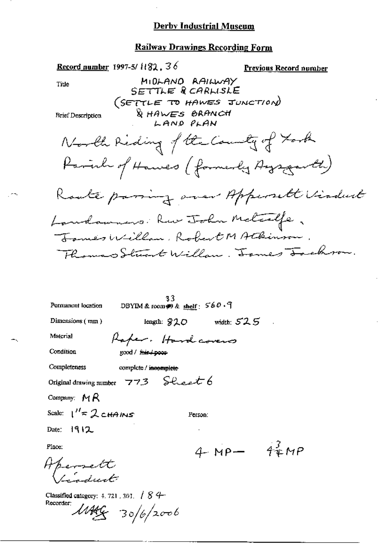Record number 1997-5/ $1182.36$ **Previous Record number** MIDLAND RAILWAY Title SETTLE RCARLISLE (SETTLE TO HAWES JUNCTION) & HAWES BRANCH **Brief Description** LAND PLAN North Reding of the County of Took Parinh of Hawes (formerly Aysgarth) Roate paring over Apperalt Viadust Landaumers: Rue John Metcalfe, James Willow, Robert MAtkinson Thomas Stunt Willow. Jomes Touchrow. 33 DBYIM & room  $\otimes$  & shelf:  $560.9$ Permanent location Dimensions (mm) length:  $920$  width:  $525$ Material Raper. Hardcovers Condition good / fair / poor Completeness complete / incomplete Original drawing number  $773$  Sheet 6 Company:  $M R$ Scale:  $1'' = 2$  cHAINS Person: Date: 1912 4  $MP - 42MP$ Place: Aperrett Classified category:  $4.721$ ,  $301$ ,  $\binom{8}{4}$ Recorder:  $M44 - 30/6/2006$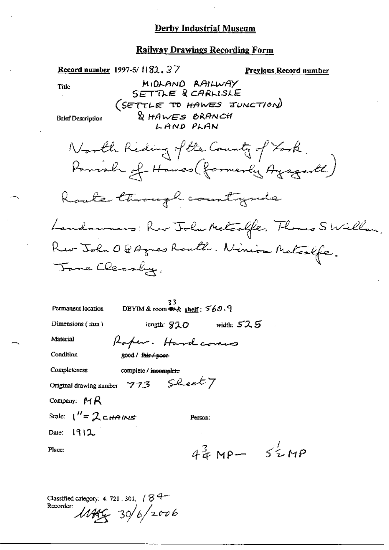# **Railway Drawings Recording Form**

| <u>Record number</u> 1997-5/1182.37<br>Previous Record number                                            |
|----------------------------------------------------------------------------------------------------------|
| MIDLAND RAILWAY<br>Title<br>SETTLE & CARLISLE<br>(SETTLE TO HAWES JUNCTION)<br><b>&amp; HAWES BRANCH</b> |
| <b>Brief Description</b><br>LAND PLAN                                                                    |
| North Riding of the County of York.<br>Parrish of Hawes (formerly Ayagenth)                              |
|                                                                                                          |
| Route through countryside                                                                                |
| Landowners: Rev John Melcalfe, Thomas SWillow,                                                           |
| Rev-John O & Agnes Routh. Ninion Metcalfe,                                                               |
| Tome Cleanby.                                                                                            |
|                                                                                                          |
| DBYIM & room $\otimes$ & shelf: $560.9$<br>Permanent location                                            |
| $length: 820$ width: $525$<br>Dimensions $(mn)$                                                          |
| Material<br>Raper. Hardcovers                                                                            |
| Condition<br>good / fair / poor                                                                          |
| Completeness<br>complete / incomplete                                                                    |
| Original drawing number $773$ Sheet $7$                                                                  |
| Company: $M R$                                                                                           |
| Scale: $1'' = 2$ chains<br>Person:                                                                       |
| Date: $1912$                                                                                             |
| $4^{3}_{4}$ MP- $5^{1}_{4}$ MP<br>Place:                                                                 |
|                                                                                                          |

Classified category: 4.721.301,  $184$ <br>Recorder:  $\mu$ 444 30/6/2006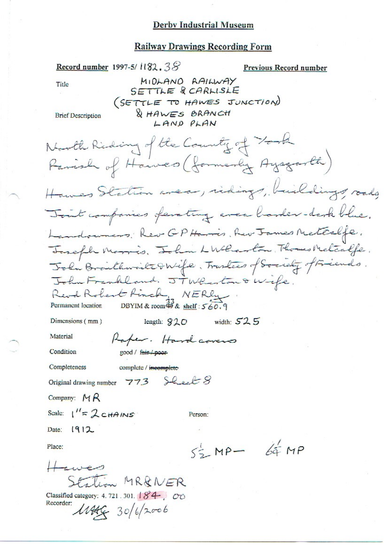Record number 1997-5/1182.38 Previous Record number MIDLAND RAILWAY Title SETTLE & CARLISLE (SETTLE TO HAWES JUNCTION) & HAWES BRANCH **Brief Description** LAND PLAN North Riding of the County of York Hawes Station area, ridings, buildings, roads Tout companies ferating even barder-dark blue. Landoumers. Rev GP Harris, Rev James Metealfe. Joseph Marris. John LWlarton. Thomas Metcalfe. John Braithweite & Wife, Traslees of Society of Friends. John Frankland. JTW Reston & Wife. Revol Robert Ringh, NERly<br>Permanent location DBYIM & room 33 & shell: 560.9 Permanent location length:  $920$  width:  $525$ Dimensions (mm) Material Raper. Hardcovers Condition good / fair / poor Completeness complete / incomplete Original drawing number 773 Sleet 8 Company:  $MR$ Scale:  $\frac{1}{s}$  2 CHAINS Person: Date: 1912  $55 - MP - 64 MP$ Place: Station MR&NER Classified category: 4.721.301. 184. 00 Recorder:  $11446 - 30/6/2006$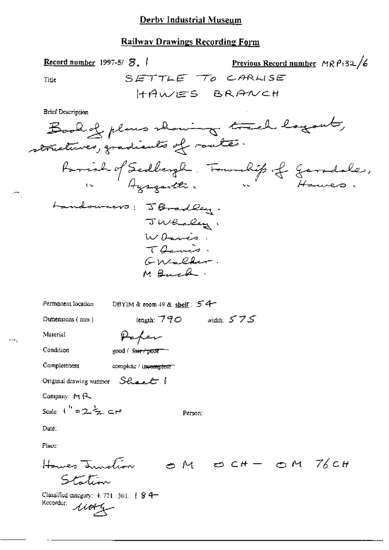#### **Railway Drawings Recording Form**

Previous Record number  $MRPi32/6$ Record number 1997-5/ $\mathcal{B}_{\bullet}$  / SETTLE TO CARLISE Title HAWES BRANCH **Brief Description** Book of plans showing track layout, structures, gradients of route. Parish of Sedbergh. Foundit of Gersdale, Landouners: JBradley. JWhaley, Warris. Thanis. GM-cher. M Buck. DBYIM & room 49 & shelf: 54 Permanent location length:  $790$  width:  $575$ Dumensions (nun) Paper Material Condition good / fair / poor Completeness complete / incomplete

Original drawing number Sheet 1

Company:  $M R$ 

Scale:  $1^{h}$  =  $2\frac{k}{2}$  cH

Date:

Place:

Person:

Classified category:  $4.721.301.$  ( $84-$ Recorder: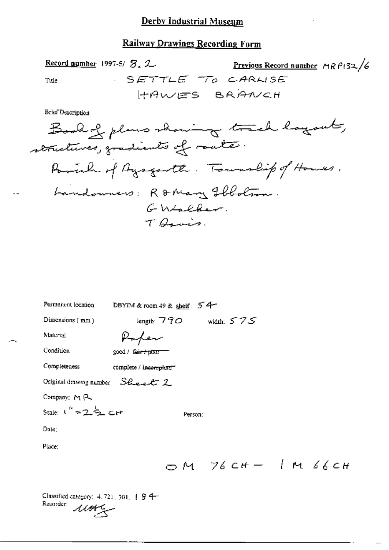#### **Railway Drawings Recording Form**

Record number  $1997-5/5$ , 2 Previous Record number MRP132/6 SETTLE TO CARLISE Title HAWES BRANCH

**Brief Description** 

Book of plans showing track logout, structures, gradients of route. Pariah of Ayagarth. Township of Houses. Landouners: R&Mary Floton. GWSCher. T Barris.

| Permanent location              | DBYIM & room 49 & shelf: 54 |         |  |  |                          |
|---------------------------------|-----------------------------|---------|--|--|--------------------------|
| Dimensions $(mn)$               | length: $770$ width: $575$  |         |  |  |                          |
| Material                        |                             |         |  |  |                          |
| Condition                       | good / fair + pour          |         |  |  |                          |
| Completeness                    | complete / incomplete       |         |  |  |                          |
| Original drawing number Sheet 2 |                             |         |  |  |                          |
| Company: $M$ $R$                |                             |         |  |  |                          |
| Scale: $1'' = 2\frac{1}{2}$ crt |                             | Person: |  |  |                          |
| Date:                           |                             |         |  |  |                          |
| Place:                          |                             |         |  |  |                          |
|                                 |                             |         |  |  | $OM$ $76CH - 1$ M $66CH$ |

Classified category:  $4.721, 501, 18.94$ Recorder:  $\mathcal{M}$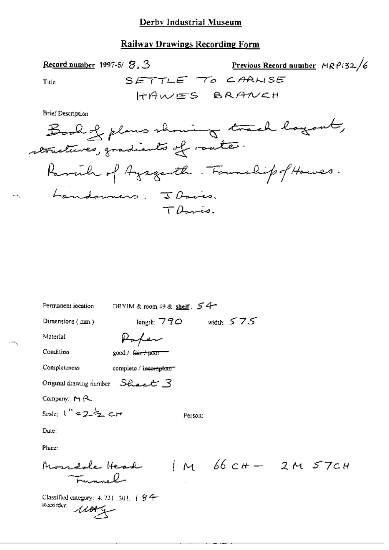### **Railway Drawings Recording Form**

 $SETTL$ 

Title

**Brief Description** 

Record number 1997-5/ S. 3



| Permanent focation                                                 | DBYIM & room 49 & shelf: $54$ |         |                            |  |
|--------------------------------------------------------------------|-------------------------------|---------|----------------------------|--|
| Dimensions $(mn)$                                                  | length: $770$ width: $575$    |         |                            |  |
| Material                                                           | Paper                         |         |                            |  |
| Condition                                                          | good / fair+pour              |         |                            |  |
| Completeness                                                       | complete / incomplete"        |         |                            |  |
| Original drawing number $S$ $\&$ $\&$ $\&$ $S$                     |                               |         |                            |  |
| Company: $M \uparrow Q$                                            |                               |         |                            |  |
| Scale: $1'' = 2\frac{1}{2}$ cH                                     |                               | Person: |                            |  |
| Date:                                                              |                               |         |                            |  |
| Place:                                                             |                               |         |                            |  |
| Mondale Head<br>أأسسمت                                             |                               |         | $1M$ $66$ $CH - 2M$ $57CH$ |  |
| Classified category: 4, 721, 301, [ § 4-<br>Recorder:<br>$\mu$ org |                               |         |                            |  |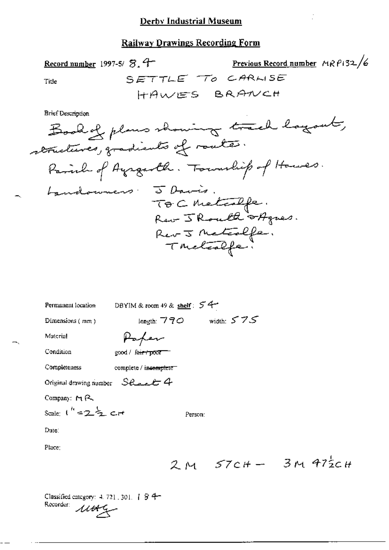## **Railway Drawings Recording Form**

Previous Record number  $MRP132/6$ Record number 1997-5/ S. 4 SETTLE TO CARLISE Title HAWES BRANCH

Brief Description

| Permanent location               | DBYIM & room 49 & shelf: $54$    |              |
|----------------------------------|----------------------------------|--------------|
| Dimensions (mm)                  | length: $770$                    | width: $575$ |
| Material                         | Paper                            |              |
| Condition                        | good / fa <del>ir / poor -</del> |              |
| Completeness                     | complete / incomplete            |              |
| Original drawing number Sheet 4  |                                  |              |
| Company: $M \sim$                |                                  |              |
| Scale: $1^{h} = 2\frac{1}{2}$ cr |                                  | Person:      |
| Date:                            |                                  |              |
| Place:                           |                                  |              |
|                                  |                                  | 2 м 57сн-    |

 $3M472cH$ 

Classified category: 4, 721, 301, | § 4-Recorder: 1164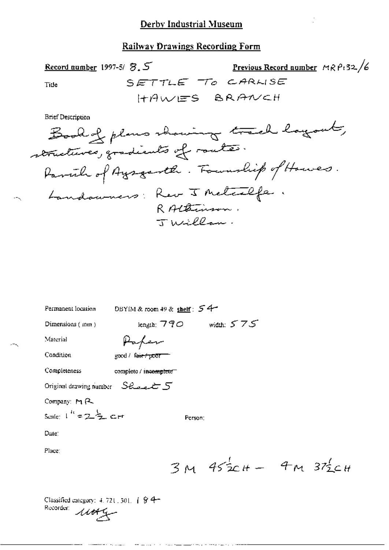## **Railway Drawings Recording Form**

Previous Record number MRP132/6 Record number 1997-5/ 8.5 SETTLE TO CARLISE Title HAWES BRANCH

ź.

**Brief Description** 

| Permanent location               | DBYIM & room 49 & shelf: $54$ |         |                           |  |
|----------------------------------|-------------------------------|---------|---------------------------|--|
| Dimensions (mm)                  | length; $770$ width: $575$    |         |                           |  |
| Material                         | Paper                         |         |                           |  |
| Condition                        | good / fair f poor            |         |                           |  |
| Completeness                     | complete / incomplete         |         |                           |  |
| Original drawing number Select 5 |                               |         |                           |  |
| Company: MR                      |                               |         |                           |  |
| Scale: $1'' = 2\frac{1}{2}$ cr   |                               | Person: |                           |  |
| Date.                            |                               |         |                           |  |
| Place:                           |                               |         |                           |  |
|                                  |                               |         | $3M$ $452cH - 4M$ $372cH$ |  |
|                                  |                               |         |                           |  |

 $1.0001$ 

يصاد وإفعام الماري يتقرد ديص

Classified category: 4, 721, 301, | § 4-Recorder: 1144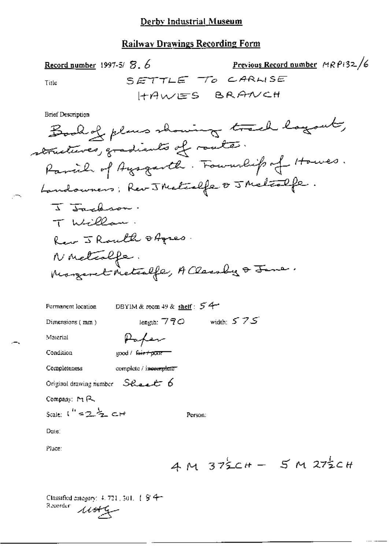### **Railway Drawings Recording Form**

Record number 1997-5/ $\mathcal{F}$ ,  $\delta$ SETTLE TO CARWSE Title HAWES BRANCH **Brief Description** Book of plans showing track logout,

DBYIM & room 49 & shelf: 54 Permanent location length:  $770$  width:  $575$ Dimensions (mm) Paper Material Condition good / fair + pour Completeness complete / incomplete Original drawing number  $S$ *Real*  $\epsilon$  6 Company: MR Scale:  $1'' = 2\frac{1}{2}$  cH Person: Date: Place:

 $AM 372CH - 5 M 272CH$ 

Previous Record number  $MRPI32/6$ 

Classified category: 4, 721, 301, 1/8/4+ Recorder  $4444$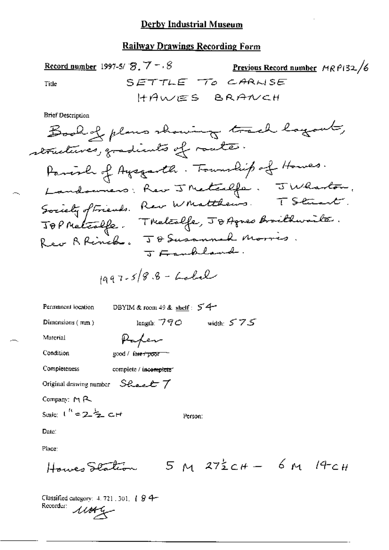#### **Railway Drawings Recording Form**

Record number 1997-5/ $\mathcal{B}$ ,  $7 - 8$ Previous Record number MRP132/6 SETTLE TO CARWSE Title HAWES BRANCH **Brief Description**  $\leftarrow$   $\ell$  low out  $\Delta$  $\mathcal{D}$  $\bigcap_{i=1}^n B_{i}$   $\bigcap_{i=1}^n B_{i}$ 

$$
1997-5/8.8 - Label
$$

DBYIM & room 49 & shelf:  $54$ Permanent location length:  $790$  width:  $575$ Dimensions  $(mn)$ Paper Material Condition good / fare froor Completeness complete / incomplete Original drawing number Sheet 7 Company: MR Scale:  $1^h = 2\frac{1}{2}$  CH Person: Date:

Place:

$$
Howes\nSædtom 5 M 272CH - 6 M 14CH
$$

Classified category: 4, 721, 301, [ § 4-Recorder:  $11042$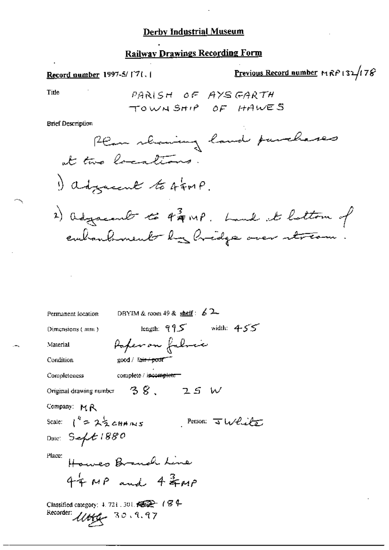### **Railway Drawings Recording Form**

# Previous Record number MRP132/178 Record number 1997-5/171.1 Title PARISH OF AYSGARTH TOWNSHIP OF HAWES **Brief Description** Ream showing land purchases at two locations. I adjacent to simp. 2) adjacent to 4 gmp. Land at lattom of embankment by hidge over stream Permanent location DBYIM & room 49 & shelf :  $\angle 2$ length:  $95$  width:  $455$ Dimensions (mm) Paper on fabric Material Condition  $\text{good}$  /  $\text{fair}$  +  $\text{point}$ complete / incomplete-Completeness Original drawing number  $-38$ ,  $-25$  W Company: MR Scale:  $1^4$  =  $2\frac{1}{2}$  cHH/NS Person: Julie Date: Sept 1880 Place: Howes Branch Line  $44MP$  and  $43MP$ Classified category: 4, 721, 301,  $\mathscr{C} \rightarrow$  ( $\mathscr{G} \rightarrow$ Recorder: Uttg. 30.9.97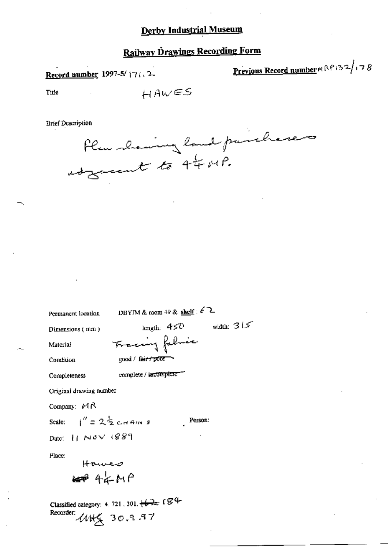# **Railway Drawings Recording Form**

## Record number 1997-5/17 (. 2-

Previous Record number x RP132/178

Title

$$
\textit{HAWES}
$$

**Brief Description** 

Plus showing land puishones

Permanent location

DBYIM & room 49 & shelf :  $\ell$  2

Dimensions (mm)

Material Condition Tracing falsic good / fairy poor

complete / incomplete -

Completeness

Original drawing number

Company: MR

Scale:

Person:

length:  $450$  width:  $315$ 

Date:  $H$  Nov  $1889$ 

Place:

Hawes  $\Leftrightarrow$  4  $\neq$  M  $\cap$ 

 $1'' = 2\frac{1}{2}$  cd 4m s

Classified category: 4. 721, 301,  $\sqrt{2}$  ( $\cancel{\mathcal{G}}$  + Recorder:  $UH_X$  30.9.97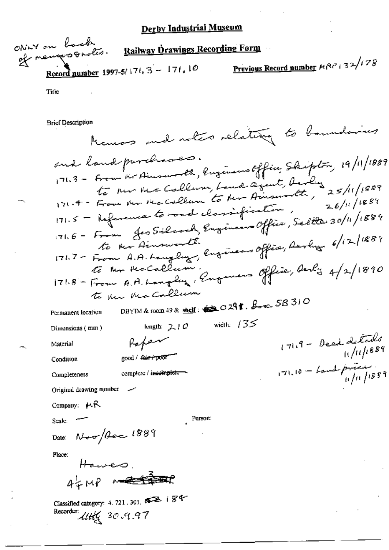ONIN on back Railway Drawings Recording Form of neugosonation. Previous Record number HRP + 32/178 Record number 1997-5/174, 3 - 171, 10

Title

**Brief Description** 

Memors and notes relating to boundaries 171.3 - From the Human etc., Engineers Office, Skipton, 19/11/1889 and land purchases. to rue me Callum, Land agent, Avily 25/11/1889 171.5 - Reference to road classification, 171.6 - From Jos Silcoch, Engineer Office, Seltte 30/11/1889 te Mr Ainswerth Engineers Office, Darling 6/12/1889  $171.8 -$  From A.A. Languay, Eugenes Office, Derly 4/2/1890 to der Mccallum DBYIM & room 49 & shelf:  $\bigotimes$  O  $29$  f.  $\beta_{\text{max}}$  SB 310 Permanent location length:  $210$  width:  $135$ Dimensions (mm)  $171.9 - 0e$ ed delado Robert Material good / fair / pool" Condition  $171.10 -$  band precent complete / incomplete Completeness Original drawing number -Company: MR Person: Scale: -Date:  $N_{\text{v}}/\beta_{\text{esc}}$  1889 Place:  $45MP \rightarrow 77$ Classified category: 4. 721, 301, 822 (84 Recorder: 11th 30.9.97